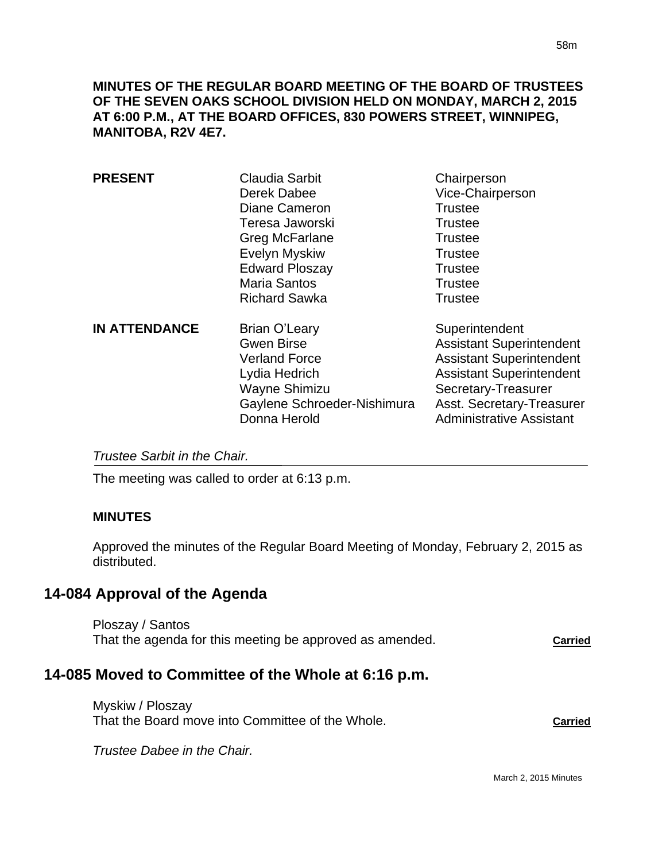**MINUTES OF THE REGULAR BOARD MEETING OF THE BOARD OF TRUSTEES OF THE SEVEN OAKS SCHOOL DIVISION HELD ON MONDAY, MARCH 2, 2015 AT 6:00 P.M., AT THE BOARD OFFICES, 830 POWERS STREET, WINNIPEG, MANITOBA, R2V 4E7.**

| <b>PRESENT</b>       | <b>Claudia Sarbit</b><br>Derek Dabee<br>Diane Cameron<br>Teresa Jaworski<br>Greg McFarlane<br>Evelyn Myskiw<br><b>Edward Ploszay</b><br><b>Maria Santos</b><br><b>Richard Sawka</b> | Chairperson<br>Vice-Chairperson<br><b>Trustee</b><br><b>Trustee</b><br><b>Trustee</b><br><b>Trustee</b><br><b>Trustee</b><br><b>Trustee</b><br><b>Trustee</b>                                                  |
|----------------------|-------------------------------------------------------------------------------------------------------------------------------------------------------------------------------------|----------------------------------------------------------------------------------------------------------------------------------------------------------------------------------------------------------------|
| <b>IN ATTENDANCE</b> | Brian O'Leary<br><b>Gwen Birse</b><br><b>Verland Force</b><br>Lydia Hedrich<br>Wayne Shimizu<br>Gaylene Schroeder-Nishimura<br>Donna Herold                                         | Superintendent<br><b>Assistant Superintendent</b><br><b>Assistant Superintendent</b><br><b>Assistant Superintendent</b><br>Secretary-Treasurer<br>Asst. Secretary-Treasurer<br><b>Administrative Assistant</b> |

*Trustee Sarbit in the Chair.* 

The meeting was called to order at 6:13 p.m.

#### **MINUTES**

Approved the minutes of the Regular Board Meeting of Monday, February 2, 2015 as distributed.

## **14-084 Approval of the Agenda**

Ploszay / Santos That the agenda for this meeting be approved as amended. **Carried**

# **14-085 Moved to Committee of the Whole at 6:16 p.m.**

Myskiw / Ploszay That the Board move into Committee of the Whole. **Carried**

*Trustee Dabee in the Chair.*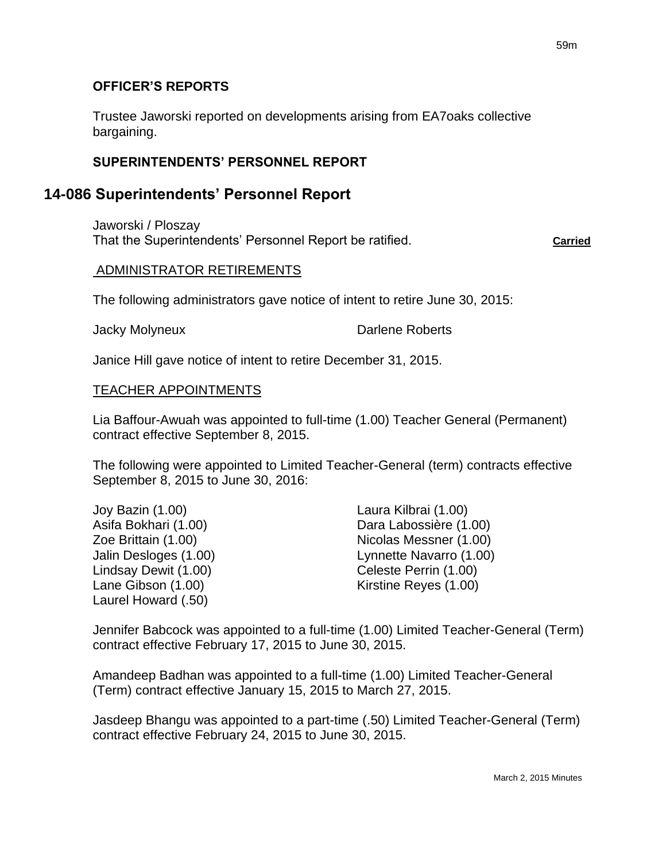### **OFFICER'S REPORTS**

Trustee Jaworski reported on developments arising from EA7oaks collective bargaining.

### **SUPERINTENDENTS' PERSONNEL REPORT**

## **14-086 Superintendents' Personnel Report**

Jaworski / Ploszay That the Superintendents' Personnel Report be ratified. **Carried**

#### ADMINISTRATOR RETIREMENTS

The following administrators gave notice of intent to retire June 30, 2015:

Jacky Molyneux **Darlene Roberts** 

Janice Hill gave notice of intent to retire December 31, 2015.

#### TEACHER APPOINTMENTS

Lia Baffour-Awuah was appointed to full-time (1.00) Teacher General (Permanent) contract effective September 8, 2015.

The following were appointed to Limited Teacher-General (term) contracts effective September 8, 2015 to June 30, 2016:

Joy Bazin (1.00) Laura Kilbrai (1.00) Lindsay Dewit (1.00) Celeste Perrin (1.00) Laurel Howard (.50)

Asifa Bokhari (1.00) Dara Labossière (1.00) Zoe Brittain (1.00) Nicolas Messner (1.00) Jalin Desloges (1.00) Lynnette Navarro (1.00) Lane Gibson (1.00) Kirstine Reyes (1.00)

Jennifer Babcock was appointed to a full-time (1.00) Limited Teacher-General (Term) contract effective February 17, 2015 to June 30, 2015.

Amandeep Badhan was appointed to a full-time (1.00) Limited Teacher-General (Term) contract effective January 15, 2015 to March 27, 2015.

Jasdeep Bhangu was appointed to a part-time (.50) Limited Teacher-General (Term) contract effective February 24, 2015 to June 30, 2015.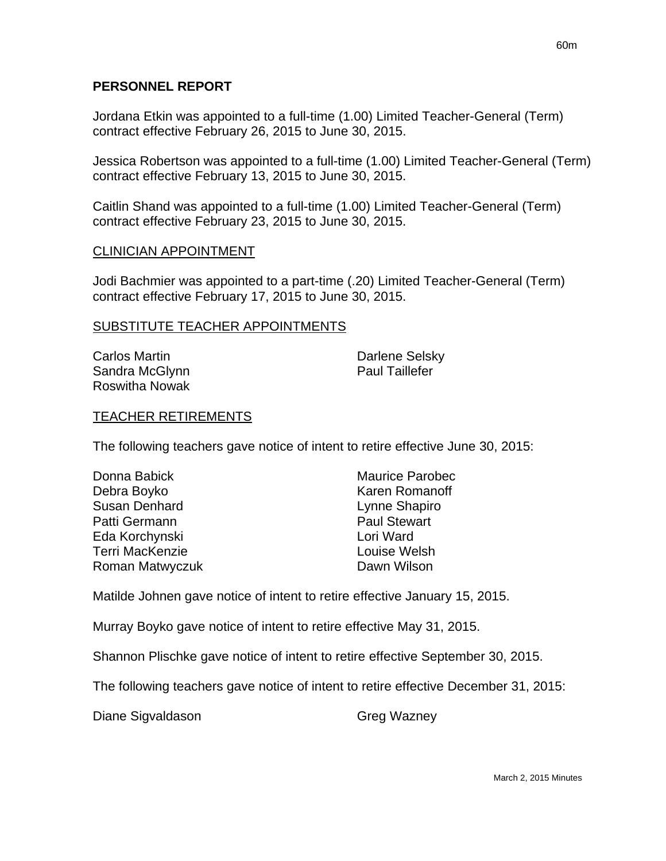Jordana Etkin was appointed to a full-time (1.00) Limited Teacher-General (Term) contract effective February 26, 2015 to June 30, 2015.

Jessica Robertson was appointed to a full-time (1.00) Limited Teacher-General (Term) contract effective February 13, 2015 to June 30, 2015.

Caitlin Shand was appointed to a full-time (1.00) Limited Teacher-General (Term) contract effective February 23, 2015 to June 30, 2015.

#### CLINICIAN APPOINTMENT

Jodi Bachmier was appointed to a part-time (.20) Limited Teacher-General (Term) contract effective February 17, 2015 to June 30, 2015.

#### SUBSTITUTE TEACHER APPOINTMENTS

| Carlos Martin  | Darlene Selsky        |
|----------------|-----------------------|
| Sandra McGlynn | <b>Paul Taillefer</b> |
| Roswitha Nowak |                       |

#### TEACHER RETIREMENTS

The following teachers gave notice of intent to retire effective June 30, 2015:

| Donna Babick    | <b>Maurice Parobec</b> |
|-----------------|------------------------|
| Debra Boyko     | Karen Romanoff         |
| Susan Denhard   | Lynne Shapiro          |
| Patti Germann   | <b>Paul Stewart</b>    |
| Eda Korchynski  | Lori Ward              |
| Terri MacKenzie | Louise Welsh           |
| Roman Matwyczuk | Dawn Wilson            |

Matilde Johnen gave notice of intent to retire effective January 15, 2015.

Murray Boyko gave notice of intent to retire effective May 31, 2015.

Shannon Plischke gave notice of intent to retire effective September 30, 2015.

The following teachers gave notice of intent to retire effective December 31, 2015:

Diane Sigvaldason Greg Wazney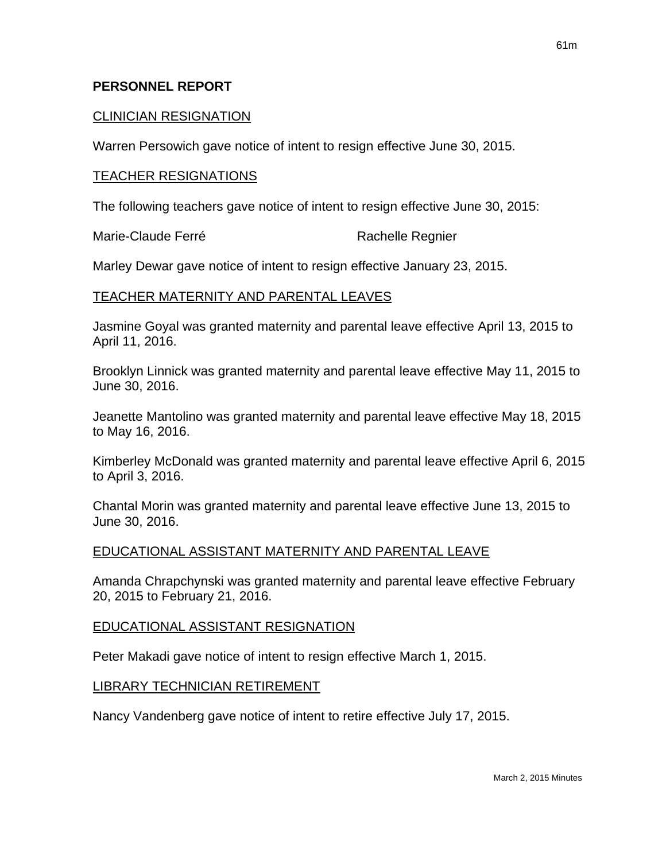### CLINICIAN RESIGNATION

Warren Persowich gave notice of intent to resign effective June 30, 2015.

#### TEACHER RESIGNATIONS

The following teachers gave notice of intent to resign effective June 30, 2015:

Marie-Claude Ferré **Rachelle Regnier** Rachelle Regnier

Marley Dewar gave notice of intent to resign effective January 23, 2015.

### TEACHER MATERNITY AND PARENTAL LEAVES

Jasmine Goyal was granted maternity and parental leave effective April 13, 2015 to April 11, 2016.

Brooklyn Linnick was granted maternity and parental leave effective May 11, 2015 to June 30, 2016.

Jeanette Mantolino was granted maternity and parental leave effective May 18, 2015 to May 16, 2016.

Kimberley McDonald was granted maternity and parental leave effective April 6, 2015 to April 3, 2016.

Chantal Morin was granted maternity and parental leave effective June 13, 2015 to June 30, 2016.

### EDUCATIONAL ASSISTANT MATERNITY AND PARENTAL LEAVE

Amanda Chrapchynski was granted maternity and parental leave effective February 20, 2015 to February 21, 2016.

#### EDUCATIONAL ASSISTANT RESIGNATION

Peter Makadi gave notice of intent to resign effective March 1, 2015.

### LIBRARY TECHNICIAN RETIREMENT

Nancy Vandenberg gave notice of intent to retire effective July 17, 2015.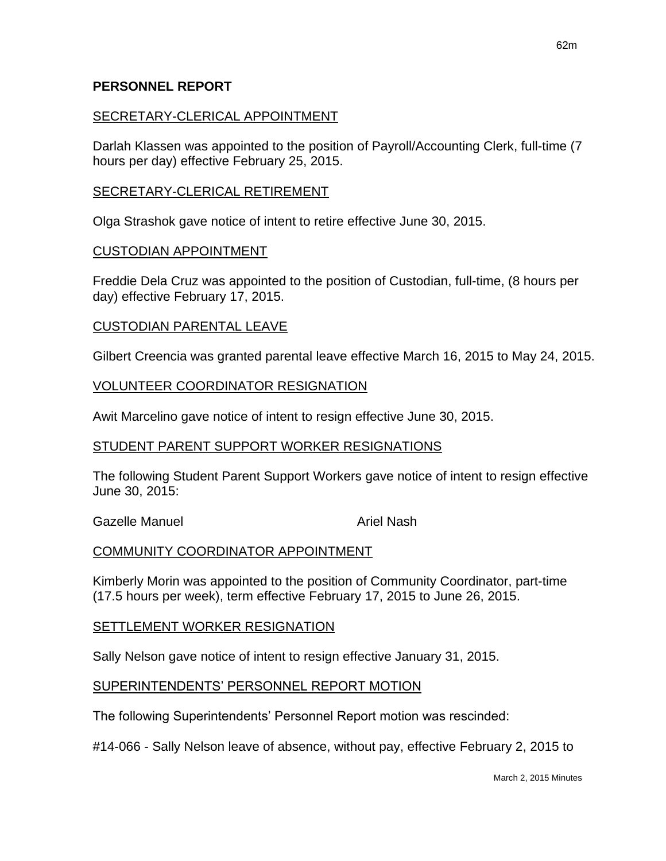### SECRETARY-CLERICAL APPOINTMENT

Darlah Klassen was appointed to the position of Payroll/Accounting Clerk, full-time (7 hours per day) effective February 25, 2015.

#### SECRETARY-CLERICAL RETIREMENT

Olga Strashok gave notice of intent to retire effective June 30, 2015.

#### CUSTODIAN APPOINTMENT

Freddie Dela Cruz was appointed to the position of Custodian, full-time, (8 hours per day) effective February 17, 2015.

#### CUSTODIAN PARENTAL LEAVE

Gilbert Creencia was granted parental leave effective March 16, 2015 to May 24, 2015.

#### VOLUNTEER COORDINATOR RESIGNATION

Awit Marcelino gave notice of intent to resign effective June 30, 2015.

#### STUDENT PARENT SUPPORT WORKER RESIGNATIONS

The following Student Parent Support Workers gave notice of intent to resign effective June 30, 2015:

Gazelle Manuel **Ariel Nash** Ariel Nash

### COMMUNITY COORDINATOR APPOINTMENT

Kimberly Morin was appointed to the position of Community Coordinator, part-time (17.5 hours per week), term effective February 17, 2015 to June 26, 2015.

#### SETTLEMENT WORKER RESIGNATION

Sally Nelson gave notice of intent to resign effective January 31, 2015.

#### SUPERINTENDENTS' PERSONNEL REPORT MOTION

The following Superintendents' Personnel Report motion was rescinded:

#14-066 - Sally Nelson leave of absence, without pay, effective February 2, 2015 to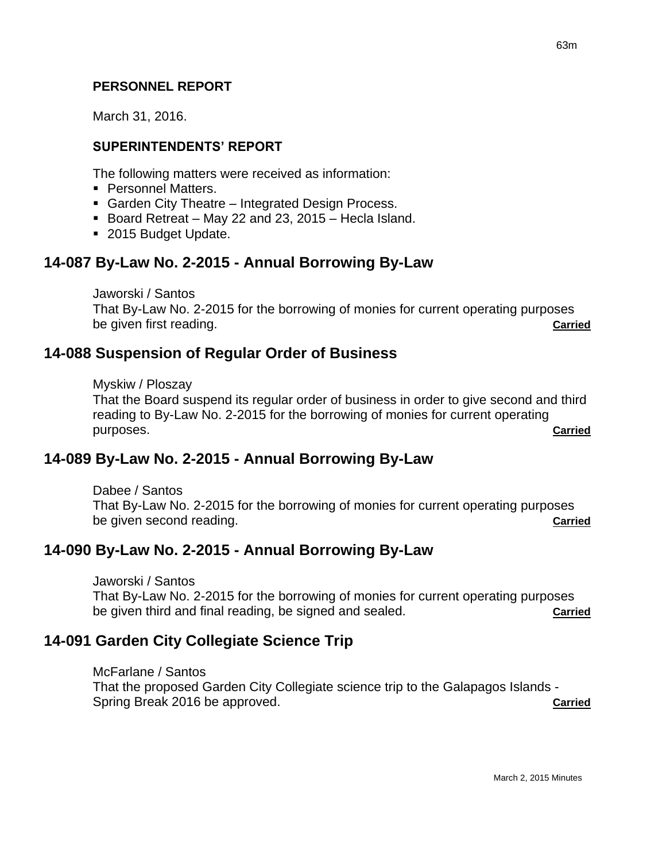March 31, 2016.

### **SUPERINTENDENTS' REPORT**

The following matters were received as information:

- **Personnel Matters.**
- Garden City Theatre Integrated Design Process.
- Board Retreat May 22 and 23, 2015 Hecla Island.
- 2015 Budget Update.

## **14-087 By-Law No. 2-2015 - Annual Borrowing By-Law**

Jaworski / Santos

That By-Law No. 2-2015 for the borrowing of monies for current operating purposes be given first reading. **Carried**

## **14-088 Suspension of Regular Order of Business**

Myskiw / Ploszay

That the Board suspend its regular order of business in order to give second and third reading to By-Law No. 2-2015 for the borrowing of monies for current operating purposes. **Carried**

## **14-089 By-Law No. 2-2015 - Annual Borrowing By-Law**

Dabee / Santos That By-Law No. 2-2015 for the borrowing of monies for current operating purposes be given second reading. **Carried**

## **14-090 By-Law No. 2-2015 - Annual Borrowing By-Law**

Jaworski / Santos

That By-Law No. 2-2015 for the borrowing of monies for current operating purposes be given third and final reading, be signed and sealed. **Carried**

## **14-091 Garden City Collegiate Science Trip**

#### McFarlane / Santos

That the proposed Garden City Collegiate science trip to the Galapagos Islands - Spring Break 2016 be approved. **Carried**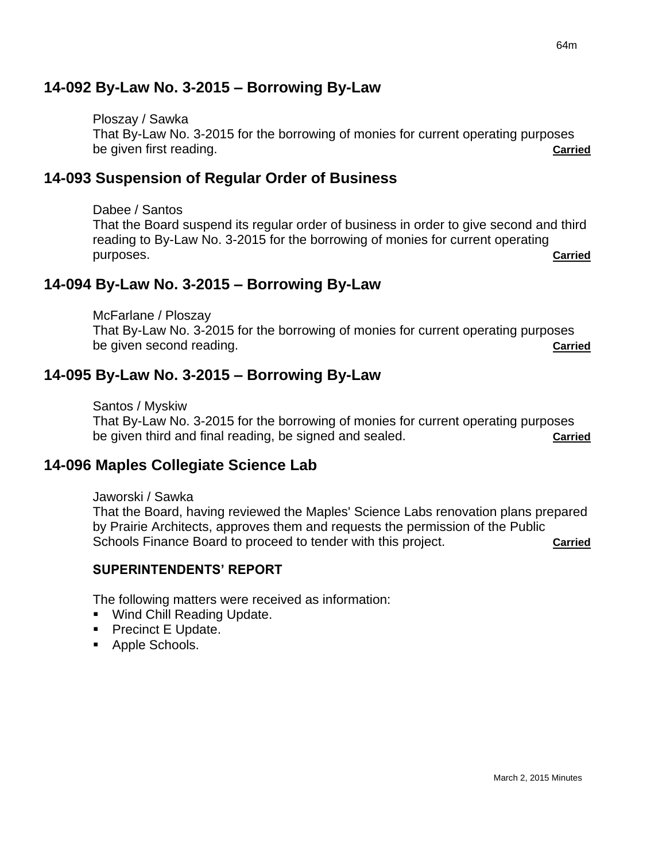## **14-092 By-Law No. 3-2015 – Borrowing By-Law**

Ploszay / Sawka That By-Law No. 3-2015 for the borrowing of monies for current operating purposes be given first reading. **Carried**

## **14-093 Suspension of Regular Order of Business**

Dabee / Santos

That the Board suspend its regular order of business in order to give second and third reading to By-Law No. 3-2015 for the borrowing of monies for current operating purposes. **Carried**

## **14-094 By-Law No. 3-2015 – Borrowing By-Law**

McFarlane / Ploszay

That By-Law No. 3-2015 for the borrowing of monies for current operating purposes be given second reading. **Carried**

## **14-095 By-Law No. 3-2015 – Borrowing By-Law**

Santos / Myskiw

That By-Law No. 3-2015 for the borrowing of monies for current operating purposes be given third and final reading, be signed and sealed. **Carried**

## **14-096 Maples Collegiate Science Lab**

Jaworski / Sawka

That the Board, having reviewed the Maples' Science Labs renovation plans prepared by Prairie Architects, approves them and requests the permission of the Public Schools Finance Board to proceed to tender with this project. **Carried**

### **SUPERINTENDENTS' REPORT**

The following matters were received as information:

- **Wind Chill Reading Update.**
- Precinct E Update.
- **Apple Schools.**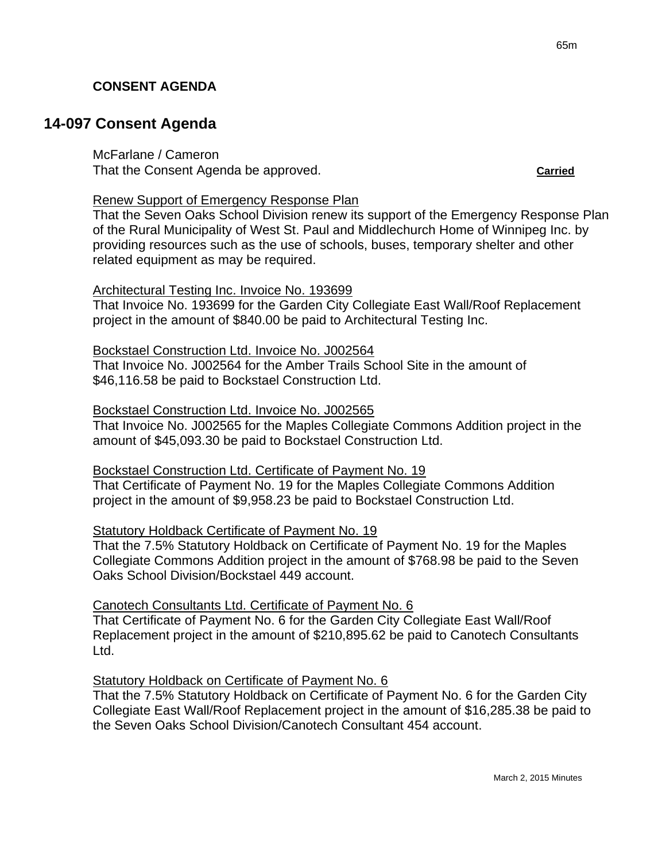### **CONSENT AGENDA**

## **14-097 Consent Agenda**

McFarlane / Cameron That the Consent Agenda be approved. **Carried**

Renew Support of Emergency Response Plan

That the Seven Oaks School Division renew its support of the Emergency Response Plan of the Rural Municipality of West St. Paul and Middlechurch Home of Winnipeg Inc. by providing resources such as the use of schools, buses, temporary shelter and other related equipment as may be required.

#### Architectural Testing Inc. Invoice No. 193699

That Invoice No. 193699 for the Garden City Collegiate East Wall/Roof Replacement project in the amount of \$840.00 be paid to Architectural Testing Inc.

Bockstael Construction Ltd. Invoice No. J002564

That Invoice No. J002564 for the Amber Trails School Site in the amount of \$46,116.58 be paid to Bockstael Construction Ltd.

#### Bockstael Construction Ltd. Invoice No. J002565

That Invoice No. J002565 for the Maples Collegiate Commons Addition project in the amount of \$45,093.30 be paid to Bockstael Construction Ltd.

Bockstael Construction Ltd. Certificate of Payment No. 19

That Certificate of Payment No. 19 for the Maples Collegiate Commons Addition project in the amount of \$9,958.23 be paid to Bockstael Construction Ltd.

### Statutory Holdback Certificate of Payment No. 19

That the 7.5% Statutory Holdback on Certificate of Payment No. 19 for the Maples Collegiate Commons Addition project in the amount of \$768.98 be paid to the Seven Oaks School Division/Bockstael 449 account.

Canotech Consultants Ltd. Certificate of Payment No. 6

That Certificate of Payment No. 6 for the Garden City Collegiate East Wall/Roof Replacement project in the amount of \$210,895.62 be paid to Canotech Consultants Ltd.

Statutory Holdback on Certificate of Payment No. 6

That the 7.5% Statutory Holdback on Certificate of Payment No. 6 for the Garden City Collegiate East Wall/Roof Replacement project in the amount of \$16,285.38 be paid to the Seven Oaks School Division/Canotech Consultant 454 account.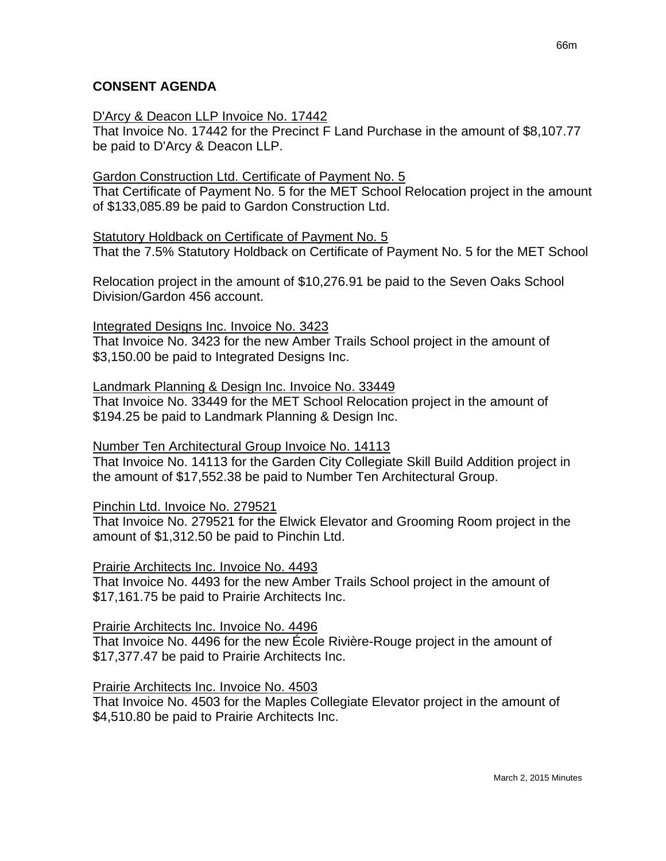### **CONSENT AGENDA**

#### D'Arcy & Deacon LLP Invoice No. 17442

That Invoice No. 17442 for the Precinct F Land Purchase in the amount of \$8,107.77 be paid to D'Arcy & Deacon LLP.

#### Gardon Construction Ltd. Certificate of Payment No. 5

That Certificate of Payment No. 5 for the MET School Relocation project in the amount of \$133,085.89 be paid to Gardon Construction Ltd.

#### Statutory Holdback on Certificate of Payment No. 5

That the 7.5% Statutory Holdback on Certificate of Payment No. 5 for the MET School

Relocation project in the amount of \$10,276.91 be paid to the Seven Oaks School Division/Gardon 456 account.

#### Integrated Designs Inc. Invoice No. 3423

That Invoice No. 3423 for the new Amber Trails School project in the amount of \$3,150.00 be paid to Integrated Designs Inc.

#### Landmark Planning & Design Inc. Invoice No. 33449

That Invoice No. 33449 for the MET School Relocation project in the amount of \$194.25 be paid to Landmark Planning & Design Inc.

#### Number Ten Architectural Group Invoice No. 14113

That Invoice No. 14113 for the Garden City Collegiate Skill Build Addition project in the amount of \$17,552.38 be paid to Number Ten Architectural Group.

#### Pinchin Ltd. Invoice No. 279521

That Invoice No. 279521 for the Elwick Elevator and Grooming Room project in the amount of \$1,312.50 be paid to Pinchin Ltd.

#### Prairie Architects Inc. Invoice No. 4493

That Invoice No. 4493 for the new Amber Trails School project in the amount of \$17,161.75 be paid to Prairie Architects Inc.

#### Prairie Architects Inc. Invoice No. 4496

That Invoice No. 4496 for the new École Rivière-Rouge project in the amount of \$17,377.47 be paid to Prairie Architects Inc.

#### Prairie Architects Inc. Invoice No. 4503

That Invoice No. 4503 for the Maples Collegiate Elevator project in the amount of \$4,510.80 be paid to Prairie Architects Inc.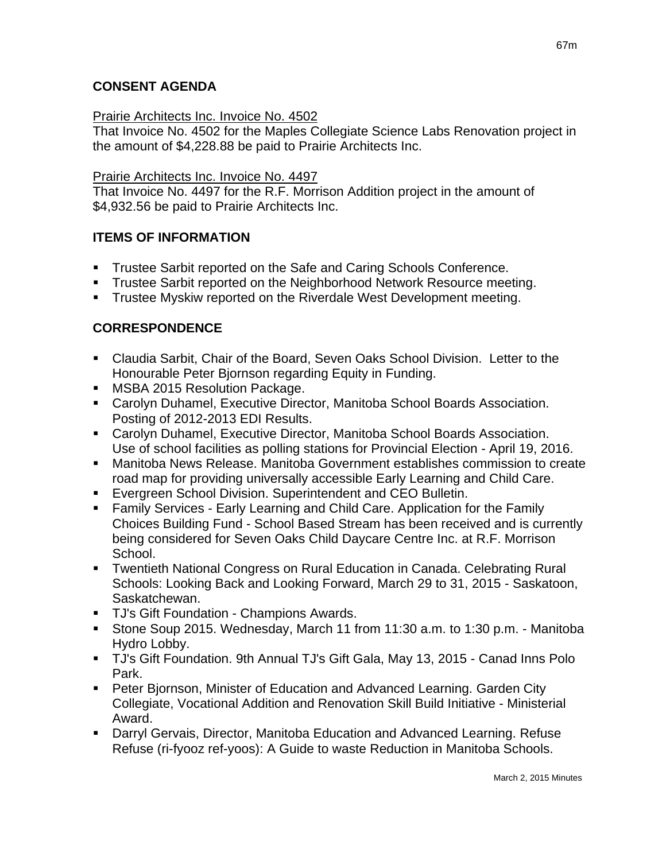## **CONSENT AGENDA**

### Prairie Architects Inc. Invoice No. 4502

That Invoice No. 4502 for the Maples Collegiate Science Labs Renovation project in the amount of \$4,228.88 be paid to Prairie Architects Inc.

### Prairie Architects Inc. Invoice No. 4497

That Invoice No. 4497 for the R.F. Morrison Addition project in the amount of \$4,932.56 be paid to Prairie Architects Inc.

## **ITEMS OF INFORMATION**

- Trustee Sarbit reported on the Safe and Caring Schools Conference.
- **Trustee Sarbit reported on the Neighborhood Network Resource meeting.**
- **Trustee Myskiw reported on the Riverdale West Development meeting.**

## **CORRESPONDENCE**

- Claudia Sarbit, Chair of the Board, Seven Oaks School Division. Letter to the Honourable Peter Bjornson regarding Equity in Funding.
- **MSBA 2015 Resolution Package.**
- Carolyn Duhamel, Executive Director, Manitoba School Boards Association. Posting of 2012-2013 EDI Results.
- Carolyn Duhamel, Executive Director, Manitoba School Boards Association. Use of school facilities as polling stations for Provincial Election - April 19, 2016.
- Manitoba News Release. Manitoba Government establishes commission to create road map for providing universally accessible Early Learning and Child Care.
- Evergreen School Division. Superintendent and CEO Bulletin.
- Family Services Early Learning and Child Care. Application for the Family Choices Building Fund - School Based Stream has been received and is currently being considered for Seven Oaks Child Daycare Centre Inc. at R.F. Morrison School.
- Twentieth National Congress on Rural Education in Canada. Celebrating Rural Schools: Looking Back and Looking Forward, March 29 to 31, 2015 - Saskatoon, Saskatchewan.
- TJ's Gift Foundation Champions Awards.
- Stone Soup 2015. Wednesday, March 11 from 11:30 a.m. to 1:30 p.m. Manitoba Hydro Lobby.
- TJ's Gift Foundation. 9th Annual TJ's Gift Gala, May 13, 2015 Canad Inns Polo Park.
- Peter Bjornson, Minister of Education and Advanced Learning. Garden City Collegiate, Vocational Addition and Renovation Skill Build Initiative - Ministerial Award.
- Darryl Gervais, Director, Manitoba Education and Advanced Learning. Refuse Refuse (ri-fyooz ref-yoos): A Guide to waste Reduction in Manitoba Schools.